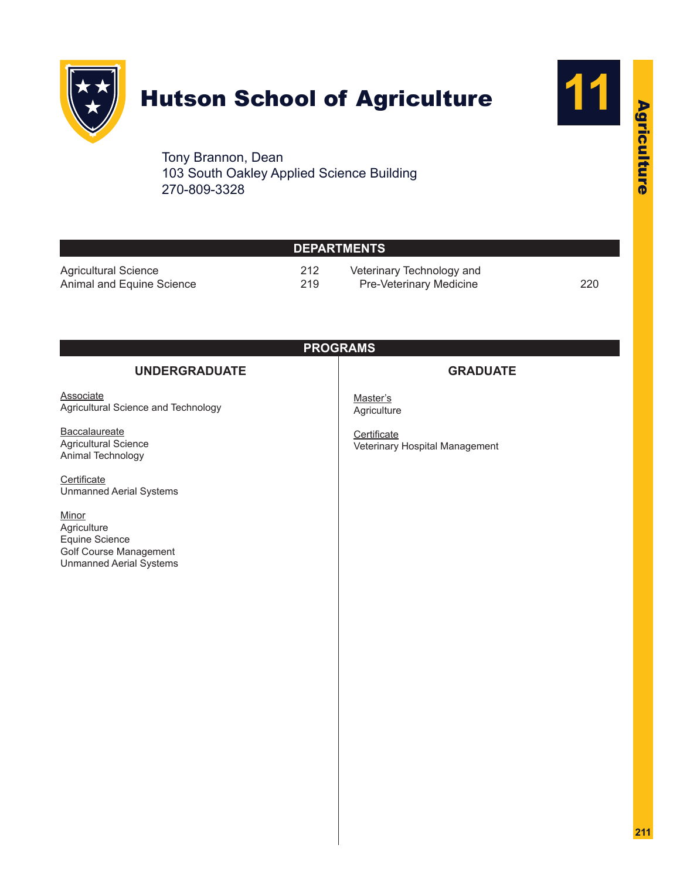

## Hutson School of Agriculture



Agriculture

Agriculture

Tony Brannon, Dean 103 South Oakley Applied Science Building 270-809-3328

| <b>DEPARTMENTS</b>                                       |            |                                                             |  |  |
|----------------------------------------------------------|------------|-------------------------------------------------------------|--|--|
| <b>Agricultural Science</b><br>Animal and Equine Science | 212<br>219 | Veterinary Technology and<br><b>Pre-Veterinary Medicine</b> |  |  |
|                                                          |            | <b>PROGRAMS</b>                                             |  |  |
| <b>UNDERGRADUATE</b>                                     |            | <b>GRADUATE</b>                                             |  |  |

| <b>Associate</b><br>Agricultural Science and Technology                                            | Master's<br>Agriculture                       |
|----------------------------------------------------------------------------------------------------|-----------------------------------------------|
| Baccalaureate<br><b>Agricultural Science</b><br>Animal Technology                                  | Certificate<br>Veterinary Hospital Management |
| Certificate<br><b>Unmanned Aerial Systems</b>                                                      |                                               |
| Minor<br>Agriculture<br>Equine Science<br>Golf Course Management<br><b>Unmanned Aerial Systems</b> |                                               |
|                                                                                                    |                                               |
|                                                                                                    |                                               |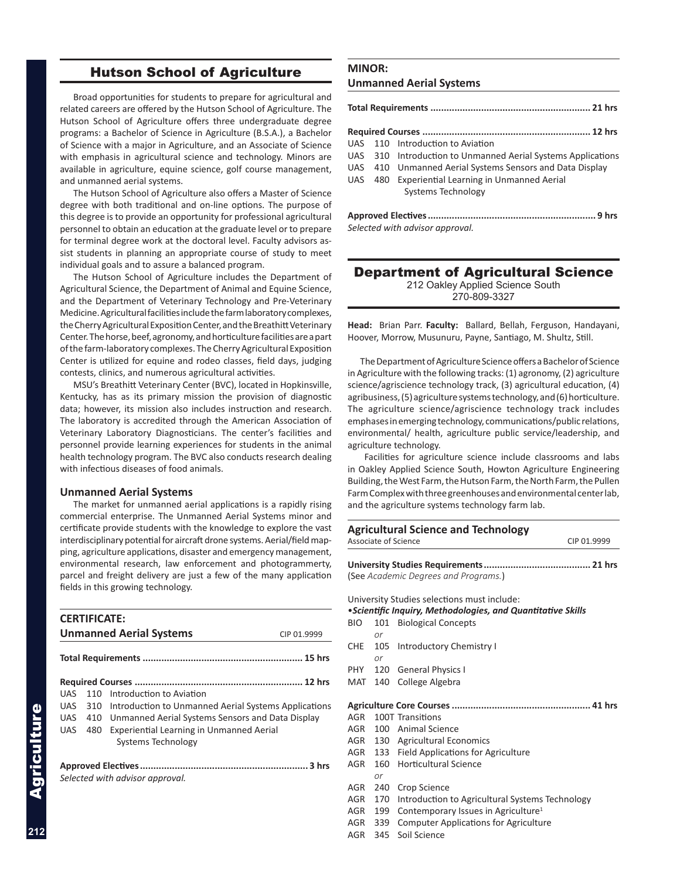#### Hutson School of Agriculture

<span id="page-1-0"></span>Broad opportunities for students to prepare for agricultural and related careers are offered by the Hutson School of Agriculture. The Hutson School of Agriculture offers three undergraduate degree programs: a Bachelor of Science in Agriculture (B.S.A.), a Bachelor of Science with a major in Agriculture, and an Associate of Science with emphasis in agricultural science and technology. Minors are available in agriculture, equine science, golf course management, and unmanned aerial systems.

The Hutson School of Agriculture also offers a Master of Science degree with both traditional and on-line options. The purpose of this degree is to provide an opportunity for professional agricultural personnel to obtain an education at the graduate level or to prepare for terminal degree work at the doctoral level. Faculty advisors assist students in planning an appropriate course of study to meet individual goals and to assure a balanced program.

The Hutson School of Agriculture includes the Department of Agricultural Science, the Department of Animal and Equine Science, and the Department of Veterinary Technology and Pre-Veterinary Medicine. Agricultural facilities include the farm laboratory complexes, the Cherry Agricultural Exposition Center, and the Breathitt Veterinary Center. The horse, beef, agronomy, and horticulture facilities are a part of the farm-laboratory complexes. The Cherry Agricultural Exposition Center is utilized for equine and rodeo classes, field days, judging contests, clinics, and numerous agricultural activities.

MSU's Breathitt Veterinary Center (BVC), located in Hopkinsville, Kentucky, has as its primary mission the provision of diagnostic data; however, its mission also includes instruction and research. The laboratory is accredited through the American Association of Veterinary Laboratory Diagnosticians. The center's facilities and personnel provide learning experiences for students in the animal health technology program. The BVC also conducts research dealing with infectious diseases of food animals.

#### **Unmanned Aerial Systems**

The market for unmanned aerial applications is a rapidly rising commercial enterprise. The Unmanned Aerial Systems minor and certificate provide students with the knowledge to explore the vast interdisciplinary potential for aircraft drone systems. Aerial/field mapping, agriculture applications, disaster and emergency management, environmental research, law enforcement and photogrammerty, parcel and freight delivery are just a few of the many application fields in this growing technology.

|            | <b>CERTIFICATE:</b> | <b>Unmanned Aerial Systems</b>                       | CIP 01.9999 |
|------------|---------------------|------------------------------------------------------|-------------|
|            |                     |                                                      |             |
|            |                     |                                                      |             |
| UAS        | 110                 | Introduction to Aviation                             |             |
| UAS.       | 310                 | Introduction to Unmanned Aerial Systems Applications |             |
| UAS        | 410                 | Unmanned Aerial Systems Sensors and Data Display     |             |
| <b>UAS</b> | 480                 | <b>Experiential Learning in Unmanned Aerial</b>      |             |
|            |                     | Systems Technology                                   |             |
|            |                     | Selected with advisor approval.                      |             |

#### **MINOR:**

#### **Unmanned Aerial Systems**

|  |  | UAS 110 Introduction to Aviation                             |  |
|--|--|--------------------------------------------------------------|--|
|  |  | UAS 310 Introduction to Unmanned Aerial Systems Applications |  |
|  |  | UAS 410 Unmanned Aerial Systems Sensors and Data Display     |  |
|  |  | UAS 480 Experiential Learning in Unmanned Aerial             |  |
|  |  | Systems Technology                                           |  |
|  |  |                                                              |  |
|  |  |                                                              |  |
|  |  | Selected with advisor approval.                              |  |

#### Department of Agricultural Science 212 Oakley Applied Science South

270-809-3327

**Head:** Brian Parr. **Faculty:** Ballard, Bellah, Ferguson, Handayani, Hoover, Morrow, Musunuru, Payne, Santiago, M. Shultz, Still.

The Department of Agriculture Science offers a Bachelor of Science in Agriculture with the following tracks: (1) agronomy, (2) agriculture science/agriscience technology track, (3) agricultural education, (4) agribusiness, (5) agriculture systems technology, and (6) horticulture. The agriculture science/agriscience technology track includes emphases in emerging technology, communications/public relations, environmental/ health, agriculture public service/leadership, and agriculture technology.

 Facilities for agriculture science include classrooms and labs in Oakley Applied Science South, Howton Agriculture Engineering Building, the West Farm, the Hutson Farm, the North Farm, the Pullen Farm Complex with three greenhouses and environmental center lab, and the agriculture systems technology farm lab.

|            |     | <b>Agricultural Science and Technology</b><br>Associate of Science | CIP 01.9999 |
|------------|-----|--------------------------------------------------------------------|-------------|
|            |     |                                                                    |             |
|            |     |                                                                    |             |
|            |     | (See Academic Degrees and Programs.)                               |             |
|            |     | University Studies selections must include:                        |             |
|            |     | • Scientific Inquiry, Methodologies, and Quantitative Skills       |             |
| <b>BIO</b> | 101 | <b>Biological Concepts</b>                                         |             |
|            | or  |                                                                    |             |
| <b>CHE</b> | 105 | <b>Introductory Chemistry I</b>                                    |             |
|            | or  |                                                                    |             |
| <b>PHY</b> | 120 | <b>General Physics I</b>                                           |             |
| MAT        | 140 | College Algebra                                                    |             |
|            |     |                                                                    |             |
| AGR        |     | 100T Transitions                                                   |             |
|            |     | AGR 100 Animal Science                                             |             |
| AGR        |     | 130 Agricultural Economics                                         |             |
| AGR        | 133 | <b>Field Applications for Agriculture</b>                          |             |
| <b>AGR</b> | 160 | <b>Horticultural Science</b>                                       |             |
|            | or  |                                                                    |             |
| <b>AGR</b> | 240 | Crop Science                                                       |             |
| <b>AGR</b> | 170 | Introduction to Agricultural Systems Technology                    |             |
| <b>AGR</b> | 199 | Contemporary Issues in Agriculture <sup>1</sup>                    |             |
| <b>AGR</b> | 339 | <b>Computer Applications for Agriculture</b>                       |             |
| AGR        | 345 | Soil Science                                                       |             |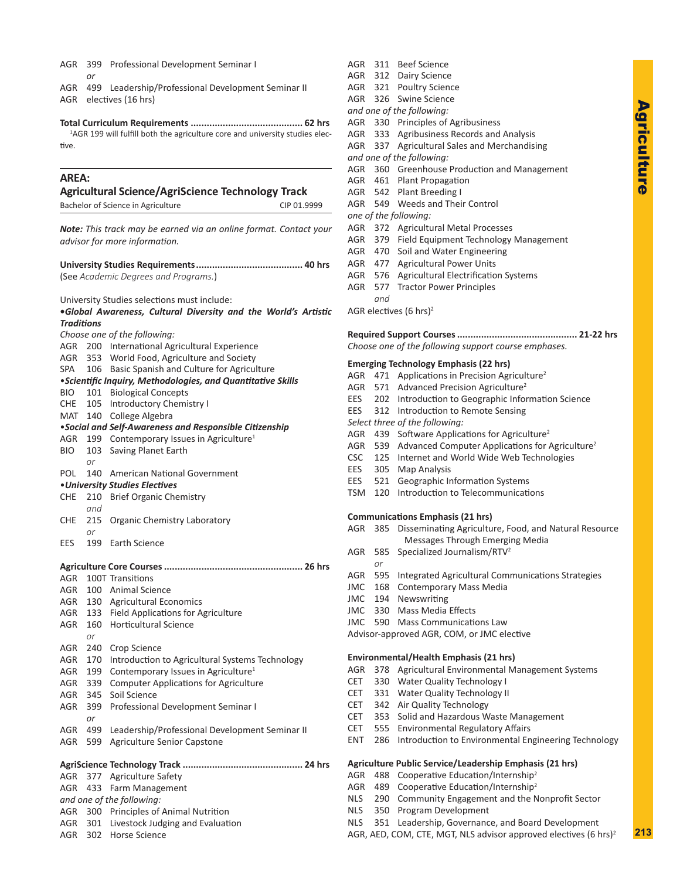- <span id="page-2-0"></span>AGR 399 Professional Development Seminar I
	- *or*
- AGR 499 Leadership/Professional Development Seminar II AGR electives (16 hrs)

**Total Curriculum Requirements .......................................... 62 hrs** <sup>1</sup>AGR 199 will fulfill both the agriculture core and university studies elective.

#### **AREA:**

#### **Agricultural Science/AgriScience Technology Track** Bachelor of Science in Agriculture CIP 01.9999 *Note: This track may be earned via an online format. Contact your advisor for more information.* **University Studies Requirements........................................ 40 hrs** (See *Academic Degrees and Programs.*) University Studies selections must include: **•***Global Awareness, Cultural Diversity and the World's Artistic Traditions Choose one of the following:* AGR 200 International Agricultural Experience AGR 353 World Food, Agriculture and Society SPA 106 Basic Spanish and Culture for Agriculture •*Scientific Inquiry, Methodologies, and Quantitative Skills* BIO 101 Biological Concepts CHE 105 Introductory Chemistry I MAT 140 College Algebra •*Social and Self-Awareness and Responsible Citizenship* AGR 199 Contemporary Issues in Agriculture<sup>1</sup> BIO 103 Saving Planet Earth *or* POL 140 American National Government •*University Studies Electives* CHE 210 Brief Organic Chemistry *and* CHE 215 Organic Chemistry Laboratory *or* EES 199 Earth Science **Agriculture Core Courses.................................................... 26 hrs** AGR 100T Transitions AGR 100 Animal Science AGR 130 Agricultural Economics AGR 133 Field Applications for Agriculture AGR 160 Horticultural Science *or* AGR 240 Crop Science AGR 170 Introduction to Agricultural Systems Technology AGR 199 Contemporary Issues in Agriculture<sup>1</sup> AGR 339 Computer Applications for Agriculture AGR 345 Soil Science AGR 399 Professional Development Seminar I *or* AGR 499 Leadership/Professional Development Seminar II AGR 599 Agriculture Senior Capstone **AgriScience Technology Track ............................................. 24 hrs** AGR 377 Agriculture Safety AGR 433 Farm Management *and one of the following:* AGR 300 Principles of Animal Nutrition

- AGR 301 Livestock Judging and Evaluation
- AGR 302 Horse Science
- AGR 311 Beef Science AGR 312 Dairy Science AGR 321 Poultry Science AGR 326 Swine Science *and one of the following:* AGR 330 Principles of Agribusiness AGR 333 Agribusiness Records and Analysis AGR 337 Agricultural Sales and Merchandising *and one of the following:* AGR 360 Greenhouse Production and Management AGR 461 Plant Propagation AGR 542 Plant Breeding I AGR 549 Weeds and Their Control *one of the following:* AGR 372 Agricultural Metal Processes AGR 379 Field Equipment Technology Management AGR 470 Soil and Water Engineering AGR 477 Agricultural Power Units AGR 576 Agricultural Electrification Systems AGR 577 Tractor Power Principles *and* AGR electives (6 hrs)2 **Required Support Courses............................................. 21-22 hrs** *Choose one of the following support course emphases.* **Emerging Technology Emphasis (22 hrs)** AGR 471 Applications in Precision Agriculture<sup>2</sup> AGR 571 Advanced Precision Agriculture<sup>2</sup> EES 202 Introduction to Geographic Information Science EES 312 Introduction to Remote Sensing *Select three of the following:* AGR 439 Software Applications for Agriculture<sup>2</sup> AGR 539 Advanced Computer Applications for Agriculture<sup>2</sup> CSC 125 Internet and World Wide Web Technologies EES 305 Map Analysis EES 521 Geographic Information Systems TSM 120 Introduction to Telecommunications **Communications Emphasis (21 hrs)** AGR 385 Disseminating Agriculture, Food, and Natural Resource Messages Through Emerging Media AGR 585 Specialized Journalism/RTV2 *or* AGR 595 Integrated Agricultural Communications Strategies JMC 168 Contemporary Mass Media JMC 194 Newswriting JMC 330 Mass Media Effects JMC 590 Mass Communications Law Advisor-approved AGR, COM, or JMC elective **Environmental/Health Emphasis (21 hrs)** AGR 378 Agricultural Environmental Management Systems CET 330 Water Quality Technology I CET 331 Water Quality Technology II CET 342 Air Quality Technology CET 353 Solid and Hazardous Waste Management CET 555 Environmental Regulatory Affairs ENT 286 Introduction to Environmental Engineering Technology **Agriculture Public Service/Leadership Emphasis (21 hrs)**
- AGR 488 Cooperative Education/Internship<sup>2</sup>
- AGR 489 Cooperative Education/Internship<sup>2</sup>
- NLS 290 Community Engagement and the Nonprofit Sector
- NLS 350 Program Development
- NLS 351 Leadership, Governance, and Board Development
- AGR, AED, COM, CTE, MGT, NLS advisor approved electives (6 hrs)<sup>2</sup>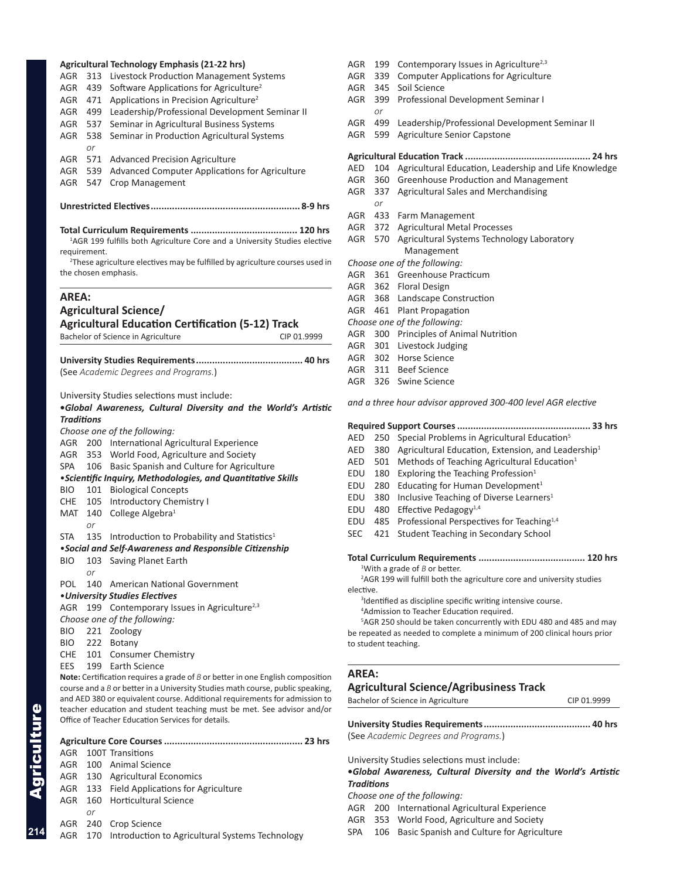|                   |              | Agricultural Technology Emphasis (21-22 hrs)                                                                                                         |
|-------------------|--------------|------------------------------------------------------------------------------------------------------------------------------------------------------|
| AGR               | 313          | Livestock Production Management Systems                                                                                                              |
| <b>AGR</b>        | 439          | Software Applications for Agriculture <sup>2</sup>                                                                                                   |
| AGR               | 471          | Applications in Precision Agriculture <sup>2</sup>                                                                                                   |
| AGR               | 499          | Leadership/Professional Development Seminar II                                                                                                       |
| AGR               | 537          | Seminar in Agricultural Business Systems                                                                                                             |
| AGR               | 538          | Seminar in Production Agricultural Systems                                                                                                           |
|                   | or           |                                                                                                                                                      |
| AGR               | 571          | <b>Advanced Precision Agriculture</b>                                                                                                                |
| AGR               | 539          | Advanced Computer Applications for Agriculture                                                                                                       |
| AGR               | 547          | <b>Crop Management</b>                                                                                                                               |
|                   |              |                                                                                                                                                      |
|                   |              | <sup>1</sup> AGR 199 fulfills both Agriculture Core and a University Studies elective                                                                |
|                   | requirement. | <sup>2</sup> These agriculture electives may be fulfilled by agriculture courses used in                                                             |
|                   |              | the chosen emphasis.                                                                                                                                 |
| AREA:             |              |                                                                                                                                                      |
|                   |              | <b>Agricultural Science/</b>                                                                                                                         |
|                   |              | <b>Agricultural Education Certification (5-12) Track</b>                                                                                             |
|                   |              | Bachelor of Science in Agriculture<br>CIP 01.9999                                                                                                    |
|                   |              |                                                                                                                                                      |
|                   |              |                                                                                                                                                      |
|                   |              | (See Academic Degrees and Programs.)                                                                                                                 |
|                   |              |                                                                                                                                                      |
|                   |              | University Studies selections must include:                                                                                                          |
| <b>Traditions</b> |              | .Global Awareness, Cultural Diversity and the World's Artistic                                                                                       |
|                   |              | Choose one of the following:                                                                                                                         |
| AGR               |              | 200 International Agricultural Experience                                                                                                            |
| AGR               | 353          | World Food, Agriculture and Society                                                                                                                  |
| <b>SPA</b>        | 106          | Basic Spanish and Culture for Agriculture                                                                                                            |
|                   |              | • Scientific Inquiry, Methodologies, and Quantitative Skills                                                                                         |
| BIO               | 101          | <b>Biological Concepts</b>                                                                                                                           |
| CHE               | 105          | <b>Introductory Chemistry I</b>                                                                                                                      |
| MAT               | 140          | College Algebra <sup>1</sup>                                                                                                                         |
|                   | or           |                                                                                                                                                      |
| STA               | 135          | Introduction to Probability and Statistics <sup>1</sup>                                                                                              |
|                   |              | . Social and Self-Awareness and Responsible Citizenship                                                                                              |
| BIO-              | or           | 103 Saving Planet Earth                                                                                                                              |
| POL               |              | 140 American National Government                                                                                                                     |
|                   |              | • University Studies Electives                                                                                                                       |
| AGR               |              | 199 Contemporary Issues in Agriculture <sup>2,3</sup>                                                                                                |
|                   |              | Choose one of the following:                                                                                                                         |
| BIO               |              | 221 Zoology                                                                                                                                          |
| BIO               |              | 222 Botany                                                                                                                                           |
| CHE               |              | 101 Consumer Chemistry                                                                                                                               |
| EES               |              | 199 Earth Science                                                                                                                                    |
|                   |              | Note: Certification requires a grade of $B$ or better in one English composition                                                                     |
|                   |              | course and a B or better in a University Studies math course, public speaking,                                                                       |
|                   |              | and AED 380 or equivalent course. Additional requirements for admission to<br>teacher education and student teaching must be met. See advisor and/or |
|                   |              | Office of Teacher Education Services for details.                                                                                                    |
|                   |              |                                                                                                                                                      |
| AGR               |              | 100T Transitions                                                                                                                                     |
|                   |              | AGR 100 Animal Science                                                                                                                               |
| AGR               |              | 130 Agricultural Economics                                                                                                                           |
|                   |              |                                                                                                                                                      |

- AGR 133 Field Applications for Agriculture
- AGR 160 Horticultural Science
	- *or*
- AGR 240 Crop Science
- AGR 170 Introduction to Agricultural Systems Technology
- AGR 199 Contemporary Issues in Agriculture<sup>2,3</sup>
- AGR 339 Computer Applications for Agriculture
- AGR 345 Soil Science
- AGR 399 Professional Development Seminar I *or*
- AGR 499 Leadership/Professional Development Seminar II
- AGR 599 Agriculture Senior Capstone

#### **Agricultural Education Track ............................................... 24 hrs**

- AED 104 Agricultural Education, Leadership and Life Knowledge
- AGR 360 Greenhouse Production and Management
- AGR 337 Agricultural Sales and Merchandising
- AGR 433 Farm Management

*or*

- AGR 372 Agricultural Metal Processes
- AGR 570 Agricultural Systems Technology Laboratory Management
- *Choose one of the following:*
- AGR 361 Greenhouse Practicum
- AGR 362 Floral Design
- AGR 368 Landscape Construction
- AGR 461 Plant Propagation
- *Choose one of the following:*
- AGR 300 Principles of Animal Nutrition
- AGR 301 Livestock Judging
- AGR 302 Horse Science
- AGR 311 Beef Science
- AGR 326 Swine Science
- *and a three hour advisor approved 300-400 level AGR elective*

#### **Required Support Courses.................................................. 33 hrs**

- AED 250 Special Problems in Agricultural Education<sup>5</sup> AED 380 Agricultural Education, Extension, and Leadership<sup>1</sup>
- 
- AED 501 Methods of Teaching Agricultural Education<sup>1</sup>
- EDU  $180$  Exploring the Teaching Profession<sup>1</sup>
- EDU 280 Educating for Human Development<sup>1</sup>
- EDU 380 Inclusive Teaching of Diverse Learners<sup>1</sup>
- EDU 480 Effective Pedagogy $1.4$
- EDU 485 Professional Perspectives for Teaching1,4
- SEC 421 Student Teaching in Secondary School

**Total Curriculum Requirements ........................................ 120 hrs** 1 With a grade of *B* or better.

2 AGR 199 will fulfill both the agriculture core and university studies elective.

- <sup>3</sup>Identified as discipline specific writing intensive course.
- 4 Admission to Teacher Education required.

5 AGR 250 should be taken concurrently with EDU 480 and 485 and may be repeated as needed to complete a minimum of 200 clinical hours prior to student teaching.

#### **AREA:**

#### **Agricultural Science/Agribusiness Track**

Bachelor of Science in Agriculture CIP 01.9999

**University Studies Requirements........................................ 40 hrs** (See *Academic Degrees and Programs.*)

University Studies selections must include:

**•***Global Awareness, Cultural Diversity and the World's Artistic Traditions* 

#### *Choose one of the following:*

- AGR 200 International Agricultural Experience
- AGR 353 World Food, Agriculture and Society
- SPA 106 Basic Spanish and Culture for Agriculture

**214**

Agriculture

Agriculture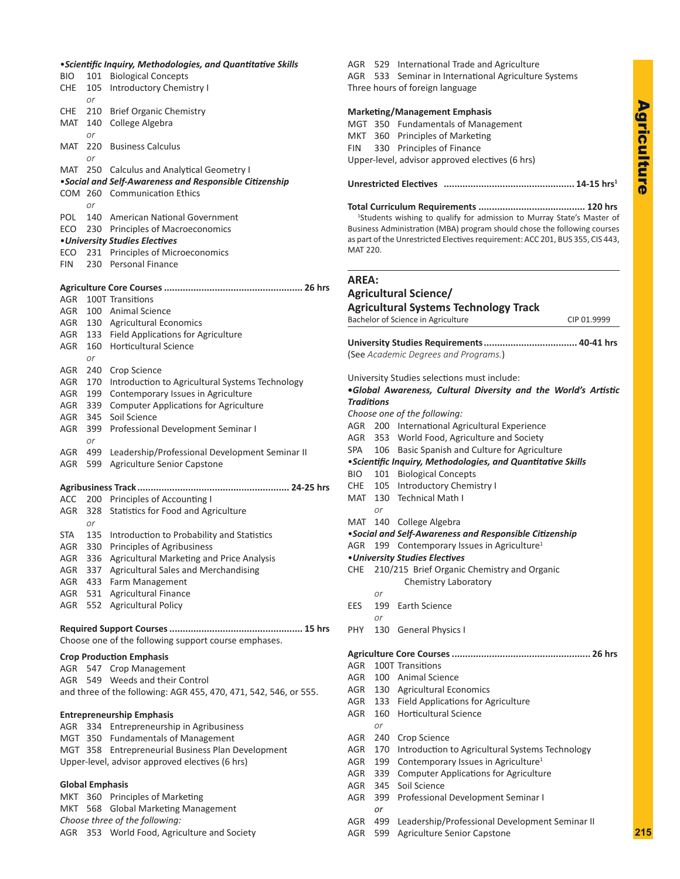#### •*Scientific Inquiry, Methodologies, and Quantitative Skills*

| BIO                    | 101        | <b>Biological Concepts</b>                                                    |
|------------------------|------------|-------------------------------------------------------------------------------|
| CHE                    | 105        | <b>Introductory Chemistry I</b>                                               |
|                        | or         |                                                                               |
| CHE                    | 210        | <b>Brief Organic Chemistry</b>                                                |
| MAT                    | 140        | College Algebra                                                               |
|                        | or         |                                                                               |
| MAT                    | 220        | <b>Business Calculus</b>                                                      |
| MAT                    | or<br>250  | <b>Calculus and Analytical Geometry I</b>                                     |
|                        |            | •Social and Self-Awareness and Responsible Citizenship                        |
|                        |            | COM 260 Communication Ethics                                                  |
|                        | or         |                                                                               |
| POL                    |            | 140 American National Government                                              |
| ECO                    | 230        | Principles of Macroeconomics                                                  |
|                        |            | <b>.</b> University Studies Electives                                         |
| ECO                    | 231        | Principles of Microeconomics                                                  |
| FIN                    | 230        | <b>Personal Finance</b>                                                       |
|                        |            |                                                                               |
|                        |            |                                                                               |
| AGR                    |            | 100T Transitions                                                              |
| AGR                    |            | 100 Animal Science                                                            |
| AGR                    |            | 130 Agricultural Economics                                                    |
| AGR                    | 133<br>160 | Field Applications for Agriculture<br><b>Horticultural Science</b>            |
| AGR                    | or         |                                                                               |
| AGR                    | 240        | Crop Science                                                                  |
| AGR                    | 170        | Introduction to Agricultural Systems Technology                               |
| AGR                    | 199        | Contemporary Issues in Agriculture                                            |
| AGR                    | 339        | <b>Computer Applications for Agriculture</b>                                  |
| AGR                    | 345        | Soil Science                                                                  |
| AGR                    | 399        | Professional Development Seminar I                                            |
|                        | or         |                                                                               |
| AGR                    | 499        | Leadership/Professional Development Seminar II                                |
| AGR                    | 599        | Agriculture Senior Capstone                                                   |
|                        |            |                                                                               |
| ACC                    | 200        | 24-25 hrs<br><b>Agribusiness Track</b><br>Principles of Accounting I          |
| AGR                    | 328        | Statistics for Food and Agriculture                                           |
|                        | or         |                                                                               |
| STA                    | 135        | Introduction to Probability and Statistics                                    |
| AGR                    | 330        | Principles of Agribusiness                                                    |
| AGR                    | 336        | Agricultural Marketing and Price Analysis                                     |
| AGR                    |            | 337 Agricultural Sales and Merchandising                                      |
| AGR                    |            | 433 Farm Management                                                           |
| AGR                    |            | 531 Agricultural Finance                                                      |
| AGR                    |            | 552 Agricultural Policy                                                       |
|                        |            |                                                                               |
|                        |            | Choose one of the following support course emphases.                          |
|                        |            |                                                                               |
|                        |            | <b>Crop Production Emphasis</b>                                               |
| AGR                    |            | 547 Crop Management<br>Weeds and their Control                                |
| AGR                    | 549        | and three of the following: AGR 455, 470, 471, 542, 546, or 555.              |
|                        |            |                                                                               |
|                        |            |                                                                               |
|                        |            |                                                                               |
| AGR                    | 334        | <b>Entrepreneurship Emphasis</b><br>Entrepreneurship in Agribusiness          |
| MGT 350                |            | <b>Fundamentals of Management</b>                                             |
|                        |            | MGT 358 Entrepreneurial Business Plan Development                             |
|                        |            | Upper-level, advisor approved electives (6 hrs)                               |
|                        |            |                                                                               |
| <b>Global Emphasis</b> |            |                                                                               |
| MKT                    |            | 360 Principles of Marketing                                                   |
| MKT                    | 568        | <b>Global Marketing Management</b>                                            |
|                        |            | Choose three of the following:<br>AGR 353 World Food, Agriculture and Society |

AGR 529 International Trade and Agriculture AGR 533 Seminar in International Agriculture Systems Three hours of foreign language **Marketing/Management Emphasis** MGT 350 Fundamentals of Management MKT 360 Principles of Marketing FIN 330 Principles of Finance Upper-level, advisor approved electives (6 hrs) **Unrestricted Electives ................................................. 14-15 hrs1 Total Curriculum Requirements ........................................ 120 hrs** <sup>1</sup>Students wishing to qualify for admission to Murray State's Master of Business Administration (MBA) program should chose the following courses as part of the Unrestricted Electives requirement: ACC 201, BUS 355, CIS 443, MAT 220. **AREA: Agricultural Science/ Agricultural Systems Technology Track** Bachelor of Science in Agriculture CIP 01.9999 **University Studies Requirements................................... 40-41 hrs** (See *Academic Degrees and Programs.*) University Studies selections must include: **•***Global Awareness, Cultural Diversity and the World's Artistic Traditions Choose one of the following:* AGR 200 International Agricultural Experience AGR 353 World Food, Agriculture and Society SPA 106 Basic Spanish and Culture for Agriculture •*Scientific Inquiry, Methodologies, and Quantitative Skills* BIO 101 Biological Concepts CHE 105 Introductory Chemistry I MAT 130 Technical Math I *or* MAT 140 College Algebra •*Social and Self-Awareness and Responsible Citizenship* AGR 199 Contemporary Issues in Agriculture<sup>1</sup> •*University Studies Electives* CHE 210/215 Brief Organic Chemistry and Organic Chemistry Laboratory *or* EES 199 Earth Science *or* PHY 130 General Physics I **Agriculture Core Courses.................................................... 26 hrs** AGR 100T Transitions AGR 100 Animal Science AGR 130 Agricultural Economics AGR 133 Field Applications for Agriculture AGR 160 Horticultural Science *or* AGR 240 Crop Science AGR 170 Introduction to Agricultural Systems Technology AGR 199 Contemporary Issues in Agriculture<sup>1</sup> AGR 339 Computer Applications for Agriculture AGR 345 Soil Science AGR 399 Professional Development Seminar I *or* AGR 499 Leadership/Professional Development Seminar II

AGR 599 Agriculture Senior Capstone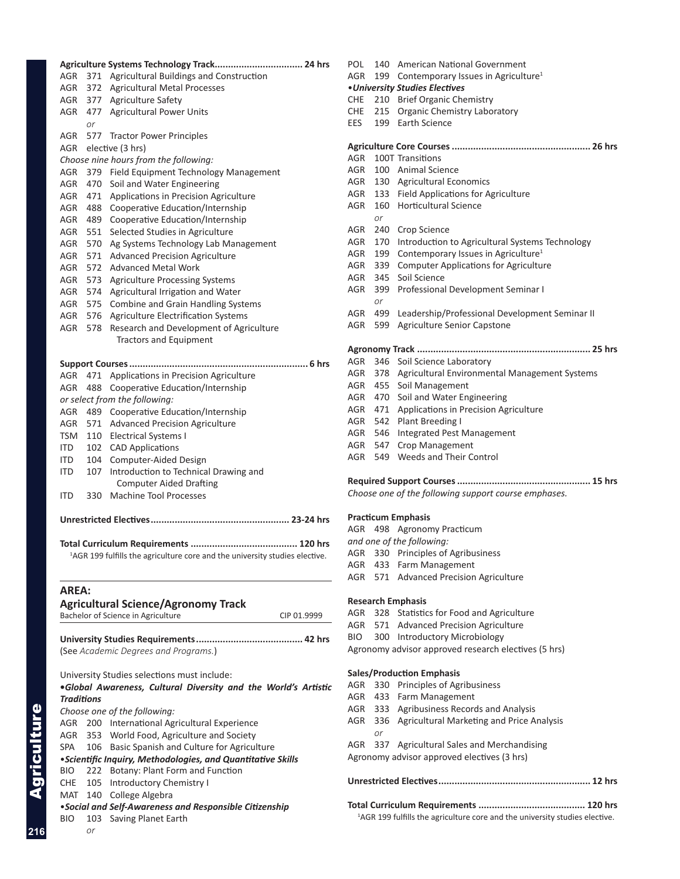| AGR               |     | 371 Agricultural Buildings and Construction                                             |
|-------------------|-----|-----------------------------------------------------------------------------------------|
| AGR               |     | 372 Agricultural Metal Processes                                                        |
| AGR               |     | 377 Agriculture Safety                                                                  |
| AGR               | 477 | <b>Agricultural Power Units</b>                                                         |
|                   | or  |                                                                                         |
| AGR               | 577 | <b>Tractor Power Principles</b>                                                         |
| AGR               |     | elective (3 hrs)                                                                        |
|                   |     | Choose nine hours from the following:                                                   |
| AGR               |     | 379 Field Equipment Technology Management                                               |
| AGR               | 470 | Soil and Water Engineering                                                              |
| AGR               |     | 471 Applications in Precision Agriculture                                               |
| AGR               | 488 | Cooperative Education/Internship                                                        |
| AGR               | 489 | Cooperative Education/Internship                                                        |
| AGR               | 551 | Selected Studies in Agriculture                                                         |
| AGR               | 570 | Ag Systems Technology Lab Management                                                    |
| AGR               | 571 | <b>Advanced Precision Agriculture</b>                                                   |
| AGR               | 572 | <b>Advanced Metal Work</b>                                                              |
| AGR               | 573 | <b>Agriculture Processing Systems</b>                                                   |
| AGR               | 574 | Agricultural Irrigation and Water                                                       |
| AGR               | 575 | <b>Combine and Grain Handling Systems</b>                                               |
| AGR               | 576 | <b>Agriculture Electrification Systems</b>                                              |
| AGR               | 578 | Research and Development of Agriculture                                                 |
|                   |     | <b>Tractors and Equipment</b>                                                           |
|                   |     |                                                                                         |
|                   |     |                                                                                         |
| AGR               | 471 | Applications in Precision Agriculture                                                   |
| AGR               | 488 | Cooperative Education/Internship                                                        |
|                   |     | or select from the following:                                                           |
| AGR               |     | 489 Cooperative Education/Internship                                                    |
| AGR               |     | 571 Advanced Precision Agriculture                                                      |
| TSM               |     | 110 Electrical Systems I                                                                |
| ITD -             | 102 | <b>CAD Applications</b>                                                                 |
| ITD               | 104 | Computer-Aided Design                                                                   |
| ITD.              | 107 | Introduction to Technical Drawing and                                                   |
|                   |     | <b>Computer Aided Drafting</b>                                                          |
| <b>ITD</b>        | 330 | <b>Machine Tool Processes</b>                                                           |
|                   |     |                                                                                         |
|                   |     |                                                                                         |
|                   |     |                                                                                         |
|                   |     | <sup>1</sup> AGR 199 fulfills the agriculture core and the university studies elective. |
|                   |     |                                                                                         |
| <b>AREA:</b>      |     |                                                                                         |
|                   |     | <b>Agricultural Science/Agronomy Track</b>                                              |
|                   |     | Bachelor of Science in Agriculture<br>CIP 01.9999                                       |
|                   |     |                                                                                         |
|                   |     |                                                                                         |
|                   |     | (See Academic Degrees and Programs.)                                                    |
|                   |     |                                                                                         |
|                   |     | University Studies selections must include:                                             |
|                   |     | .Global Awareness, Cultural Diversity and the World's Artistic                          |
| <b>Traditions</b> |     |                                                                                         |
|                   |     | Choose one of the following:                                                            |
| AGR               |     | 200 International Agricultural Experience                                               |
| AGR               |     | 353 World Food, Agriculture and Society                                                 |
| SPA               |     | 106 Basic Spanish and Culture for Agriculture                                           |
|                   |     | • Scientific Inquiry, Methodologies, and Quantitative Skills                            |
| BIO               |     | 222 Botany: Plant Form and Function                                                     |
| <b>CHE</b>        | 105 | <b>Introductory Chemistry I</b>                                                         |
|                   |     | MAT 140 College Algebra                                                                 |

- •*Social and Self-Awareness and Responsible Citizenship*
- BIO 103 Saving Planet Earth *or*

| POL        | 140 | <b>American National Government</b>                  |
|------------|-----|------------------------------------------------------|
| AGR        | 199 | Contemporary Issues in Agriculture <sup>1</sup>      |
|            |     | • University Studies Electives                       |
| CHE        | 210 | <b>Brief Organic Chemistry</b>                       |
| <b>CHE</b> | 215 | Organic Chemistry Laboratory                         |
| EES        | 199 | <b>Earth Science</b>                                 |
|            |     |                                                      |
| AGR        |     | 100T Transitions                                     |
| AGR        |     | 100 Animal Science                                   |
| AGR        |     | 130 Agricultural Economics                           |
| AGR        |     | 133 Field Applications for Agriculture               |
| AGR        | 160 | <b>Horticultural Science</b>                         |
|            | or  |                                                      |
| AGR        | 240 | Crop Science                                         |
| <b>AGR</b> | 170 | Introduction to Agricultural Systems Technology      |
| AGR        | 199 | Contemporary Issues in Agriculture <sup>1</sup>      |
| AGR        | 339 | <b>Computer Applications for Agriculture</b>         |
| AGR        | 345 | Soil Science                                         |
| AGR        | 399 | Professional Development Seminar I                   |
|            | or  |                                                      |
| AGR        | 499 | Leadership/Professional Development Seminar II       |
| AGR        | 599 | <b>Agriculture Senior Capstone</b>                   |
|            |     |                                                      |
| <b>AGR</b> | 346 | Soil Science Laboratory                              |
| AGR        | 378 | Agricultural Environmental Management Systems        |
| AGR        | 455 | Soil Management                                      |
| AGR        | 470 | Soil and Water Engineering                           |
| AGR        | 471 | Applications in Precision Agriculture                |
| AGR        | 542 | Plant Breeding I                                     |
| AGR        | 546 | <b>Integrated Pest Management</b>                    |
| AGR        | 547 | <b>Crop Management</b>                               |
| AGR        | 549 | Weeds and Their Control                              |
|            |     | Choose one of the following support course emphases. |

#### **Practicum Emphasis**

|  | AGR 498 Agronomy Practicum             |
|--|----------------------------------------|
|  | and one of the following:              |
|  | AGR 330 Principles of Agribusiness     |
|  | AGR 433 Farm Management                |
|  | AGR 571 Advanced Precision Agriculture |
|  |                                        |

#### **Research Emphasis**

- AGR 328 Statistics for Food and Agriculture
- AGR 571 Advanced Precision Agriculture
- BIO 300 Introductory Microbiology

Agronomy advisor approved research electives (5 hrs)

#### **Sales/Production Emphasis**

- AGR 330 Principles of Agribusiness AGR 433 Farm Management AGR 333 Agribusiness Records and Analysis AGR 336 Agricultural Marketing and Price Analysis *or* AGR 337 Agricultural Sales and Merchandising Agronomy advisor approved electives (3 hrs) **Unrestricted Electives......................................................... 12 hrs Total Curriculum Requirements ........................................ 120 hrs**
	- <sup>1</sup>AGR 199 fulfills the agriculture core and the university studies elective.

**216**

Agriculture

Agriculture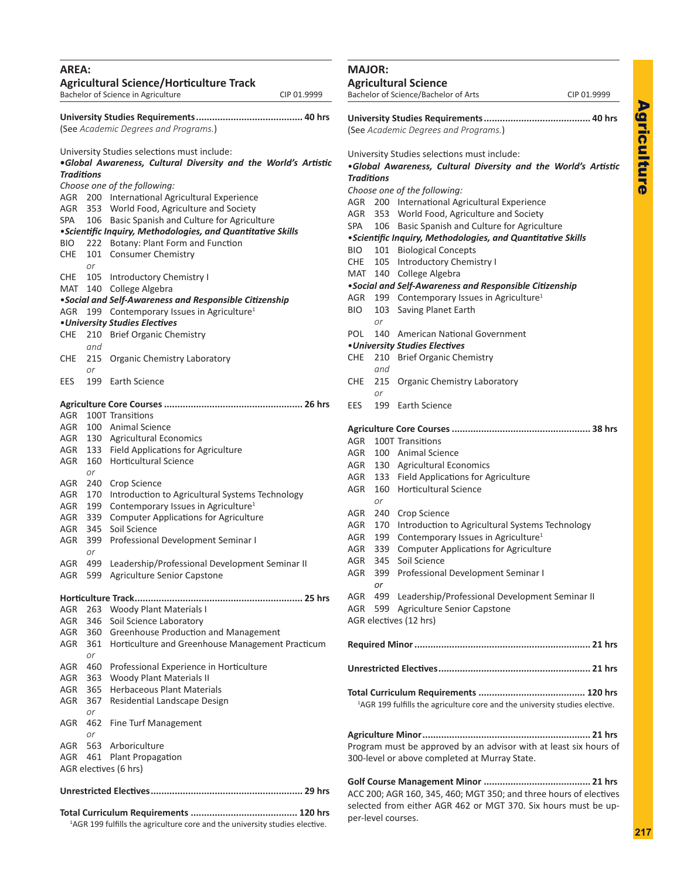<span id="page-6-0"></span>

| AREA:<br><b>Agricultural Science/Horticulture Track</b><br>Bachelor of Science in Agriculture<br>CIP 01.9999 |                  |                                                                                                               |  |  |
|--------------------------------------------------------------------------------------------------------------|------------------|---------------------------------------------------------------------------------------------------------------|--|--|
| (See Academic Degrees and Programs.)                                                                         |                  |                                                                                                               |  |  |
| <b>Traditions</b>                                                                                            |                  | University Studies selections must include:<br>.Global Awareness, Cultural Diversity and the World's Artistic |  |  |
|                                                                                                              |                  | Choose one of the following:                                                                                  |  |  |
|                                                                                                              |                  | AGR 200 International Agricultural Experience                                                                 |  |  |
|                                                                                                              |                  | AGR 353 World Food, Agriculture and Society                                                                   |  |  |
| SPA                                                                                                          |                  | 106 Basic Spanish and Culture for Agriculture                                                                 |  |  |
|                                                                                                              |                  | • Scientific Inquiry, Methodologies, and Quantitative Skills                                                  |  |  |
| BIO-                                                                                                         | 222              | Botany: Plant Form and Function                                                                               |  |  |
| CHE                                                                                                          | 101              | Consumer Chemistry                                                                                            |  |  |
|                                                                                                              | or               |                                                                                                               |  |  |
|                                                                                                              |                  | CHE 105 Introductory Chemistry I                                                                              |  |  |
|                                                                                                              |                  | MAT 140 College Algebra                                                                                       |  |  |
|                                                                                                              |                  | . Social and Self-Awareness and Responsible Citizenship                                                       |  |  |
| AGR                                                                                                          | 199              | Contemporary Issues in Agriculture <sup>1</sup>                                                               |  |  |
|                                                                                                              |                  | • University Studies Electives                                                                                |  |  |
| CHE                                                                                                          | 210              | <b>Brief Organic Chemistry</b>                                                                                |  |  |
| CHE                                                                                                          | and<br>215       | Organic Chemistry Laboratory                                                                                  |  |  |
| EES                                                                                                          | or<br>199        | Earth Science                                                                                                 |  |  |
|                                                                                                              |                  |                                                                                                               |  |  |
|                                                                                                              |                  |                                                                                                               |  |  |
| AGR                                                                                                          |                  | 100T Transitions                                                                                              |  |  |
| AGR                                                                                                          |                  | 100 Animal Science                                                                                            |  |  |
|                                                                                                              |                  | AGR 130 Agricultural Economics                                                                                |  |  |
| AGR                                                                                                          |                  | 133 Field Applications for Agriculture                                                                        |  |  |
| AGR                                                                                                          | or               | 160 Horticultural Science                                                                                     |  |  |
| AGR                                                                                                          | 240              | Crop Science                                                                                                  |  |  |
| AGR                                                                                                          | 170              | Introduction to Agricultural Systems Technology                                                               |  |  |
| AGR                                                                                                          | 199              | Contemporary Issues in Agriculture <sup>1</sup>                                                               |  |  |
| AGR                                                                                                          | 339              | <b>Computer Applications for Agriculture</b>                                                                  |  |  |
| AGR<br>AGR                                                                                                   | 345<br>399<br>or | Soil Science<br>Professional Development Seminar I                                                            |  |  |
| AGR                                                                                                          | 499              | Leadership/Professional Development Seminar II                                                                |  |  |
| AGR                                                                                                          | 599              | Agriculture Senior Capstone                                                                                   |  |  |
|                                                                                                              |                  |                                                                                                               |  |  |
| AGR                                                                                                          | 263              | <b>Woody Plant Materials I</b>                                                                                |  |  |
| AGR                                                                                                          |                  | 346 Soil Science Laboratory                                                                                   |  |  |
| AGR                                                                                                          | 360              | Greenhouse Production and Management                                                                          |  |  |
| AGR                                                                                                          | 361              | Horticulture and Greenhouse Management Practicum                                                              |  |  |
|                                                                                                              | or               |                                                                                                               |  |  |
| AGR                                                                                                          | 460              | Professional Experience in Horticulture                                                                       |  |  |
| AGR                                                                                                          |                  | 363 Woody Plant Materials II                                                                                  |  |  |
| AGR                                                                                                          | 365              | <b>Herbaceous Plant Materials</b>                                                                             |  |  |
| AGR                                                                                                          | 367<br>or        | Residential Landscape Design                                                                                  |  |  |
| AGR                                                                                                          | 462<br>or        | Fine Turf Management                                                                                          |  |  |
| AGR                                                                                                          |                  | 563 Arboriculture                                                                                             |  |  |
| AGR                                                                                                          |                  | 461 Plant Propagation                                                                                         |  |  |
| AGR electives (6 hrs)                                                                                        |                  |                                                                                                               |  |  |
|                                                                                                              |                  |                                                                                                               |  |  |

**Total Curriculum Requirements ........................................ 120 hrs** <sup>1</sup>AGR 199 fulfills the agriculture core and the university studies elective.

#### **MAJOR:**

**Agricultural Science** Bachelor of Science/Bachelor of Arts CIP 01.9999

**University Studies Requirements........................................ 40 hrs** (See *Academic Degrees and Programs.*)

University Studies selections must include: •*Global Awareness, Cultural Diversity and the World's Artistic Traditions Choose one of the following:* AGR 200 International Agricultural Experience AGR 353 World Food, Agriculture and Society SPA 106 Basic Spanish and Culture for Agriculture •*Scientific Inquiry, Methodologies, and Quantitative Skills* BIO 101 Biological Concepts CHE 105 Introductory Chemistry I MAT 140 College Algebra •*Social and Self-Awareness and Responsible Citizenship* AGR 199 Contemporary Issues in Agriculture<sup>1</sup> BIO 103 Saving Planet Earth *or* POL 140 American National Government •*University Studies Electives* CHE 210 Brief Organic Chemistry *and* CHE 215 Organic Chemistry Laboratory *or* EES 199 Earth Science **Agriculture Core Courses.................................................... 38 hrs** AGR 100T Transitions AGR 100 Animal Science AGR 130 Agricultural Economics AGR 133 Field Applications for Agriculture AGR 160 Horticultural Science *or* AGR 240 Crop Science AGR 170 Introduction to Agricultural Systems Technology AGR 199 Contemporary Issues in Agriculture<sup>1</sup> AGR 339 Computer Applications for Agriculture AGR 345 Soil Science AGR 399 Professional Development Seminar I *or* AGR 499 Leadership/Professional Development Seminar II AGR 599 Agriculture Senior Capstone AGR electives (12 hrs) **Required Minor.................................................................. 21 hrs Unrestricted Electives......................................................... 21 hrs Total Curriculum Requirements ........................................ 120 hrs** <sup>1</sup>AGR 199 fulfills the agriculture core and the university studies elective. **Agriculture Minor............................................................... 21 hrs** Program must be approved by an advisor with at least six hours of 300-level or above completed at Murray State.

**Golf Course Management Minor ........................................ 21 hrs** ACC 200; AGR 160, 345, 460; MGT 350; and three hours of electives selected from either AGR 462 or MGT 370. Six hours must be upper-level courses.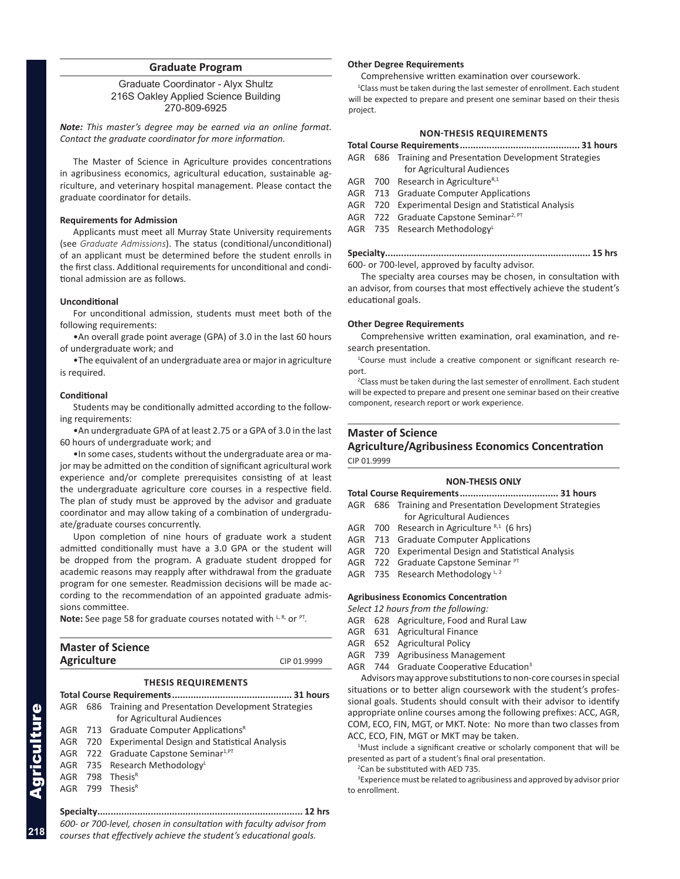#### **Graduate Program**

<span id="page-7-0"></span>Graduate Coordinator - Alyx Shultz 216S Oakley Applied Science Building 270-809-6925

*Note: This master's degree may be earned via an online format. Contact the graduate coordinator for more information.*

The Master of Science in Agriculture provides concentrations in agribusiness economics, agricultural education, sustainable agriculture, and veterinary hospital management. Please contact the graduate coordinator for details.

#### **Requirements for Admission**

Applicants must meet all Murray State University requirements (see *Graduate Admissions*). The status (conditional/unconditional) of an applicant must be determined before the student enrolls in the first class. Additional requirements for unconditional and conditional admission are as follows.

#### **Unconditional**

For unconditional admission, students must meet both of the following requirements:

•An overall grade point average (GPA) of 3.0 in the last 60 hours of undergraduate work; and

•The equivalent of an undergraduate area or major in agriculture is required.

#### **Conditional**

Students may be conditionally admitted according to the following requirements:

•An undergraduate GPA of at least 2.75 or a GPA of 3.0 in the last 60 hours of undergraduate work; and

•In some cases, students without the undergraduate area or major may be admitted on the condition of significant agricultural work experience and/or complete prerequisites consisting of at least the undergraduate agriculture core courses in a respective field. The plan of study must be approved by the advisor and graduate coordinator and may allow taking of a combination of undergraduate/graduate courses concurrently.

Upon completion of nine hours of graduate work a student admitted conditionally must have a 3.0 GPA or the student will be dropped from the program. A graduate student dropped for academic reasons may reapply after withdrawal from the graduate program for one semester. Readmission decisions will be made according to the recommendation of an appointed graduate admissions committee.

**Note:** See page 58 for graduate courses notated with L, R, or PT.

| <b>Master of Science</b> |             |
|--------------------------|-------------|
| <b>Agriculture</b>       | CIP 01.9999 |

#### **THESIS REQUIREMENTS**

**Total Course Requirements............................................. 31 hours**

|  | AGR 686 Training and Presentation Development Strategies |
|--|----------------------------------------------------------|
|  | for Agricultural Audiences                               |
|  | AGR 713 Graduate Computer Applications <sup>R</sup>      |
|  | AGR 720 Experimental Design and Statistical Analysis     |
|  | AGR 722 Graduate Capstone Seminar <sup>1, PT</sup>       |
|  | AGR 735 Research Methodology <sup>L</sup>                |
|  | AGR 798 Thesis <sup>R</sup>                              |
|  | AGR 799 Thesis <sup>R</sup>                              |
|  |                                                          |

**Specialty............................................................................. 12 hrs** *600- or 700-level, chosen in consultation with faculty advisor from courses that effectively achieve the student's educational goals.*

#### **Other Degree Requirements**

Comprehensive written examination over coursework.

<sup>1</sup>Class must be taken during the last semester of enrollment. Each student will be expected to prepare and present one seminar based on their thesis project.

#### **NON-THESIS REQUIREMENTS**

| . |  |  |  |  |  |  |
|---|--|--|--|--|--|--|

- AGR 686 Training and Presentation Development Strategies for Agricultural Audiences
- AGR 700 Research in Agriculture $R,1$
- AGR 713 Graduate Computer Applications
- AGR 720 Experimental Design and Statistical Analysis
- AGR 722 Graduate Capstone Seminar<sup>2, PT</sup>
- AGR 735 Research Methodology

**Specialty............................................................................. 15 hrs** 600- or 700-level, approved by faculty advisor.

The specialty area courses may be chosen, in consultation with an advisor, from courses that most effectively achieve the student's educational goals.

#### **Other Degree Requirements**

Comprehensive written examination, oral examination, and research presentation.

 1 Course must include a creative component or significant research report.

<sup>2</sup> Class must be taken during the last semester of enrollment. Each student will be expected to prepare and present one seminar based on their creative component, research report or work experience.

#### **Master of Science Agriculture/Agribusiness Economics Concentration**

CIP 01.9999

#### **NON-THESIS ONLY**

|  | AGR 686 Training and Presentation Development Strategies |
|--|----------------------------------------------------------|
|  | for Agricultural Audiences                               |
|  | AGR 700 Research in Agriculture $R,1$ (6 hrs)            |
|  | AGR 713 Graduate Computer Applications                   |
|  | AGR 720 Experimental Design and Statistical Analysis     |
|  | AGR 722 Graduate Capstone Seminar PT                     |
|  | AGR 735 Research Methodology L, 2                        |

#### **Agribusiness Economics Concentration**

*Select 12 hours from the following:*

- AGR 628 Agriculture, Food and Rural Law
- AGR 631 Agricultural Finance
- AGR 652 Agricultural Policy
- AGR 739 Agribusiness Management
- AGR 744 Graduate Cooperative Education<sup>3</sup>

Advisors may approve substitutions to non-core courses in special situations or to better align coursework with the student's professional goals. Students should consult with their advisor to identify appropriate online courses among the following prefixes: ACC, AGR, COM, ECO, FIN, MGT, or MKT. Note: No more than two classes from ACC, ECO, FIN, MGT or MKT may be taken.

<sup>1</sup>Must include a significant creative or scholarly component that will be presented as part of a student's final oral presentation.

2 Can be substituted with AED 735.

<sup>3</sup> Experience must be related to agribusiness and approved by advisor prior to enrollment.

**218**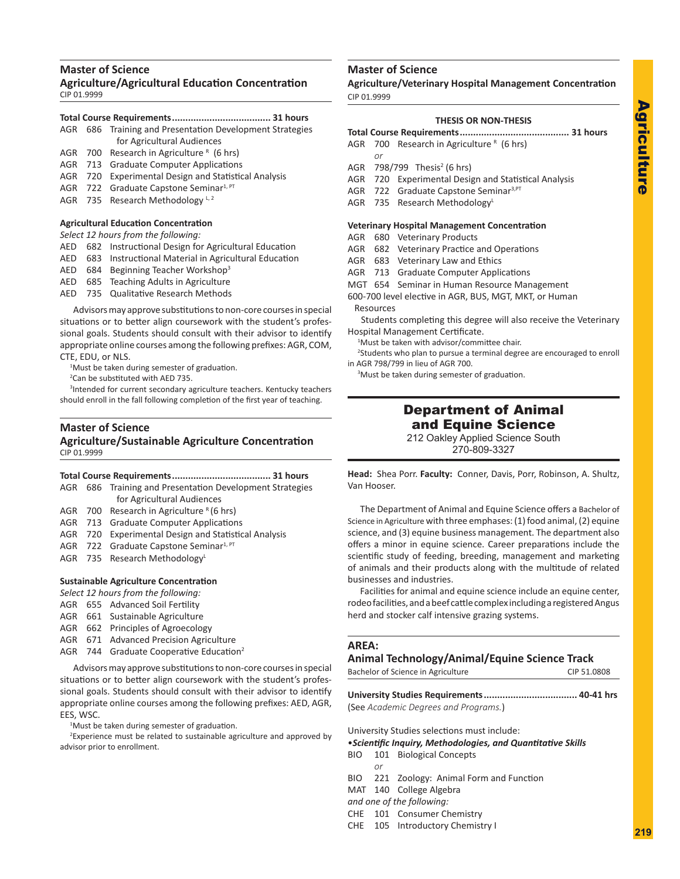# Agriculture Agriculture

#### <span id="page-8-0"></span>**Master of Science**

**Agriculture/Agricultural Education Concentration** CIP 01.9999

#### **Total Course Requirements..................................... 31 hours**

- AGR 686 Training and Presentation Development Strategies for Agricultural Audiences
- AGR 700 Research in Agriculture  $R$  (6 hrs)
- AGR 713 Graduate Computer Applications
- AGR 720 Experimental Design and Statistical Analysis
- AGR 722 Graduate Capstone Seminar<sup>1, PT</sup>
- AGR 735 Research Methodology  $L$ , 2

#### **Agricultural Education Concentration**

#### *Select 12 hours from the following:*

- AED 682 Instructional Design for Agricultural Education
- AED 683 Instructional Material in Agricultural Education
- AED 684 Beginning Teacher Workshop<sup>3</sup>
- AED 685 Teaching Adults in Agriculture
- AED 735 Qualitative Research Methods

Advisors may approve substitutions to non-core courses in special situations or to better align coursework with the student's professional goals. Students should consult with their advisor to identify appropriate online courses among the following prefixes: AGR, COM, CTE, EDU, or NLS.

<sup>1</sup>Must be taken during semester of graduation.

2 Can be substituted with AED 735.

3 Intended for current secondary agriculture teachers. Kentucky teachers should enroll in the fall following completion of the first year of teaching.

#### **Master of Science Agriculture/Sustainable Agriculture Concentration** CIP 01.9999

#### **Total Course Requirements..................................... 31 hours**

- AGR 686 Training and Presentation Development Strategies for Agricultural Audiences
- AGR 700 Research in Agriculture  $R(6 \text{ hrs})$
- AGR 713 Graduate Computer Applications
- AGR 720 Experimental Design and Statistical Analysis
- AGR 722 Graduate Capstone Seminar<sup>1, PT</sup>
- AGR 735 Research Methodology<sup>L</sup>

#### **Sustainable Agriculture Concentration**

- *Select 12 hours from the following:*
- AGR 655 Advanced Soil Fertility
- AGR 661 Sustainable Agriculture
- AGR 662 Principles of Agroecology
- AGR 671 Advanced Precision Agriculture
- AGR 744 Graduate Cooperative Education<sup>2</sup>

Advisors may approve substitutions to non-core courses in special situations or to better align coursework with the student's professional goals. Students should consult with their advisor to identify appropriate online courses among the following prefixes: AED, AGR, EES, WSC.

<sup>1</sup>Must be taken during semester of graduation.

<sup>2</sup> Experience must be related to sustainable agriculture and approved by advisor prior to enrollment.

#### **Master of Science**

#### **Agriculture/Veterinary Hospital Management Concentration** CIP 01.9999

#### **THESIS OR NON-THESIS**

- **Total Course Requirements......................................... 31 hours**
- AGR 700 Research in Agriculture  $R$  (6 hrs) *or*
- AGR 798/799 Thesis<sup>2</sup> (6 hrs)
- AGR 720 Experimental Design and Statistical Analysis
- AGR 722 Graduate Capstone Seminar<sup>3, PT</sup>
- AGR 735 Research Methodology<sup>L</sup>

#### **Veterinary Hospital Management Concentration**

- AGR 680 Veterinary Products
- AGR 682 Veterinary Practice and Operations
- AGR 683 Veterinary Law and Ethics
- AGR 713 Graduate Computer Applications
- MGT 654 Seminar in Human Resource Management

600-700 level elective in AGR, BUS, MGT, MKT, or Human Resources

Students completing this degree will also receive the Veterinary Hospital Management Certificate.

1 Must be taken with advisor/committee chair.

<sup>2</sup>Students who plan to pursue a terminal degree are encouraged to enroll in AGR 798/799 in lieu of AGR 700.

<sup>3</sup>Must be taken during semester of graduation.

#### Department of Animal and Equine Science

212 Oakley Applied Science South 270-809-3327

**Head:** Shea Porr. **Faculty:** Conner, Davis, Porr, Robinson, A. Shultz, Van Hooser.

The Department of Animal and Equine Science offers a Bachelor of Science in Agriculture with three emphases: (1) food animal, (2) equine science, and (3) equine business management. The department also offers a minor in equine science. Career preparations include the scientific study of feeding, breeding, management and marketing of animals and their products along with the multitude of related businesses and industries.

Facilities for animal and equine science include an equine center, rodeo facilities, and a beef cattle complex including a registered Angus herd and stocker calf intensive grazing systems.

#### **AREA:**

#### **Animal Technology/Animal/Equine Science Track** Bachelor of Science in Agriculture CIP 51.0808

**University Studies Requirements................................... 40-41 hrs** (See *Academic Degrees and Programs.*)

University Studies selections must include:

•*Scientific Inquiry, Methodologies, and Quantitative Skills*

- BIO 101 Biological Concepts
- *or*
- BIO 221 Zoology: Animal Form and Function
- MAT 140 College Algebra
- *and one of the following:*
- CHE 101 Consumer Chemistry
- CHE 105 Introductory Chemistry I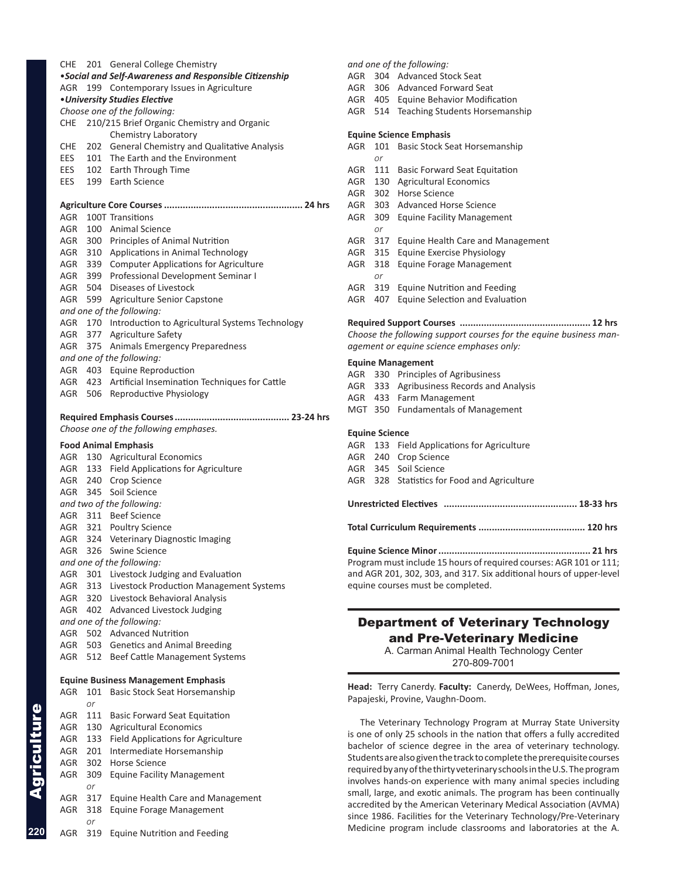<span id="page-9-0"></span>

| CHE | 201 | <b>General College Chemistry</b>                       |
|-----|-----|--------------------------------------------------------|
|     |     | •Social and Self-Awareness and Responsible Citizenship |
| AGR | 199 | Contemporary Issues in Agriculture                     |
|     |     | • University Studies Elective                          |
|     |     | Choose one of the following:                           |
| CHE |     | 210/215 Brief Organic Chemistry and Organic            |
|     |     | Chemistry Laboratory                                   |
| CHE |     | 202 General Chemistry and Qualitative Analysis         |
| EES |     | 101 The Earth and the Environment                      |
| EES |     | 102 Earth Through Time                                 |
| EES |     | 199 Earth Science                                      |
|     |     |                                                        |
|     |     |                                                        |
| AGR |     | 100T Transitions                                       |
|     |     | AGR 100 Animal Science                                 |
|     |     | AGR 300 Principles of Animal Nutrition                 |
| AGR |     | 310 Applications in Animal Technology                  |
|     |     | AGR 339 Computer Applications for Agriculture          |
|     |     | AGR 399 Professional Development Seminar I             |
|     |     | AGR 504 Diseases of Livestock                          |
| AGR |     | 599 Agriculture Senior Capstone                        |
|     |     | and one of the following:                              |
| AGR |     | 170 Introduction to Agricultural Systems Technology    |
| AGR |     | 377 Agriculture Safety                                 |
| AGR |     | 375 Animals Emergency Preparedness                     |
|     |     | and one of the following:                              |
|     |     | AGR 403 Equine Reproduction                            |
|     |     | AGR 423 Artificial Insemination Techniques for Cattle  |
| AGR |     | 506 Reproductive Physiology                            |
|     |     |                                                        |
|     |     |                                                        |
|     |     | Choose one of the following emphases.                  |
|     |     |                                                        |
|     |     | <b>Food Animal Emphasis</b>                            |
| AGR |     | 130 Agricultural Economics                             |
|     |     | AGR 133 Field Applications for Agriculture             |
| AGR |     | 240 Crop Science                                       |
|     |     | AGR 345 Soil Science                                   |
|     |     | and two of the following:                              |
|     |     | AGR 311 Beef Science                                   |
|     |     | AGR 321 Poultry Science                                |
|     |     | AGR 324 Veterinary Diagnostic Imaging                  |
| AGR |     | 326 Swine Science                                      |
|     |     | and one of the following:                              |
| AGR |     | 301 Livestock Judging and Evaluation                   |
| AGR |     | 313 Livestock Production Management Systems            |
| AGR |     | 320 Livestock Behavioral Analysis                      |
| AGR |     | 402 Advanced Livestock Judging                         |
|     |     | and one of the following:                              |
| AGR |     | 502 Advanced Nutrition                                 |
| AGR | 503 | <b>Genetics and Animal Breeding</b>                    |
| AGR | 512 | Beef Cattle Management Systems                         |
|     |     |                                                        |
|     |     | <b>Equine Business Management Emphasis</b>             |
| AGR | 101 | <b>Basic Stock Seat Horsemanship</b>                   |
|     | or  |                                                        |
| AGR | 111 | <b>Basic Forward Seat Equitation</b>                   |
| AGR | 130 | <b>Agricultural Economics</b>                          |
| AGR | 133 | Field Applications for Agriculture                     |
| AGR | 201 | Intermediate Horsemanship                              |
| AGR | 302 | Horse Science                                          |
| AGR | 309 | <b>Equine Facility Management</b>                      |
|     | or  |                                                        |
| AGR | 317 | Equine Health Care and Management                      |
| AGR | 318 | <b>Equine Forage Management</b>                        |
|     | or  |                                                        |
|     |     |                                                        |

#### *and one of the following:* AGR 304 Advanced Stock Seat AGR 306 Advanced Forward Seat AGR 405 Equine Behavior Modification AGR 514 Teaching Students Horsemanship **Equine Science Emphasis** AGR 101 Basic Stock Seat Horsemanship *or* AGR 111 Basic Forward Seat Equitation AGR 130 Agricultural Economics AGR 302 Horse Science AGR 303 Advanced Horse Science AGR 309 Equine Facility Management *or* AGR 317 Equine Health Care and Management AGR 315 Equine Exercise Physiology AGR 318 Equine Forage Management *or* AGR 319 Equine Nutrition and Feeding AGR 407 Equine Selection and Evaluation

### **Required Support Courses ................................................. 12 hrs**

*Choose the following support courses for the equine business management or equine science emphases only:*

#### **Equine Management**

- AGR 330 Principles of Agribusiness
- AGR 333 Agribusiness Records and Analysis
- AGR 433 Farm Management
- MGT 350 Fundamentals of Management

#### **Equine Science**

- AGR 133 Field Applications for Agriculture
- AGR 240 Crop Science
- AGR 345 Soil Science
- AGR 328 Statistics for Food and Agriculture

| <b>Unrestricted Electives</b> |  |  |
|-------------------------------|--|--|
|                               |  |  |

**Total Curriculum Requirements ........................................ 120 hrs**

**Equine Science Minor......................................................... 21 hrs** Program must include 15 hours of required courses: AGR 101 or 111; and AGR 201, 302, 303, and 317. Six additional hours of upper-level equine courses must be completed.

#### Department of Veterinary Technology and Pre-Veterinary Medicine

A. Carman Animal Health Technology Center 270-809-7001

**Head:** Terry Canerdy. **Faculty:** Canerdy, DeWees, Hoffman, Jones, Papajeski, Provine, Vaughn-Doom.

The Veterinary Technology Program at Murray State University is one of only 25 schools in the nation that offers a fully accredited bachelor of science degree in the area of veterinary technology. Students are also given the track to complete the prerequisite courses required by any of the thirty veterinary schools in the U.S. The program involves hands-on experience with many animal species including small, large, and exotic animals. The program has been continually accredited by the American Veterinary Medical Association (AVMA) since 1986. Facilities for the Veterinary Technology/Pre-Veterinary Medicine program include classrooms and laboratories at the A.

**220**

Agriculture

Agriculture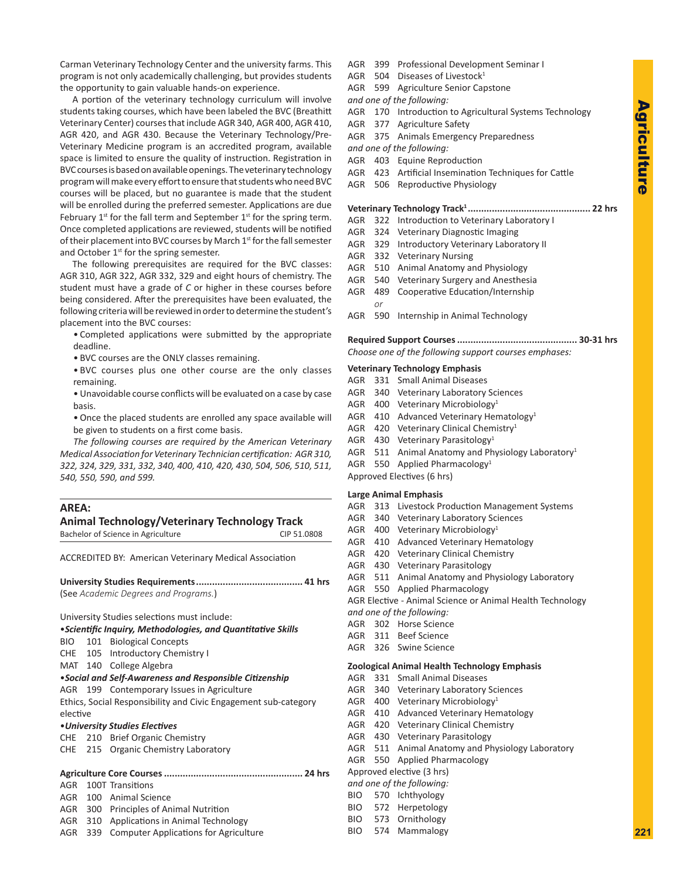Carman Veterinary Technology Center and the university farms. This program is not only academically challenging, but provides students the opportunity to gain valuable hands-on experience.

A portion of the veterinary technology curriculum will involve students taking courses, which have been labeled the BVC (Breathitt Veterinary Center) courses that include AGR 340, AGR 400, AGR 410, AGR 420, and AGR 430. Because the Veterinary Technology/Pre-Veterinary Medicine program is an accredited program, available space is limited to ensure the quality of instruction. Registration in BVC courses is based on available openings. The veterinary technology program will make every effort to ensure that students who need BVC courses will be placed, but no guarantee is made that the student will be enrolled during the preferred semester. Applications are due February  $1^{st}$  for the fall term and September  $1^{st}$  for the spring term. Once completed applications are reviewed, students will be notified of their placement into BVC courses by March 1<sup>st</sup> for the fall semester and October 1<sup>st</sup> for the spring semester.

The following prerequisites are required for the BVC classes: AGR 310, AGR 322, AGR 332, 329 and eight hours of chemistry. The student must have a grade of *C* or higher in these courses before being considered. After the prerequisites have been evaluated, the following criteria will be reviewed in order to determine the student's placement into the BVC courses:

- Completed applications were submitted by the appropriate deadline.
- BVC courses are the ONLY classes remaining.
- BVC courses plus one other course are the only classes remaining.
- Unavoidable course conflicts will be evaluated on a case by case basis.
- Once the placed students are enrolled any space available will be given to students on a first come basis.

*The following courses are required by the American Veterinary Medical Association for Veterinary Technician certification:**AGR 310, 322, 324, 329, 331, 332, 340, 400, 410, 420, 430, 504, 506, 510, 511, 540, 550, 590, and 599.*

#### **AREA:**

#### **Animal Technology/Veterinary Technology Track**

| $A$ $B$ $C$ $C$ $D$ $D$ $D$ $S$ $J$ $V$ $C$ $C$ $D$ $D$ $J$ $V$ $C$ $D$ $D$ $D$ $S$ $J$ $D$ $C$ $N$ |             |
|-----------------------------------------------------------------------------------------------------|-------------|
| Bachelor of Science in Agriculture                                                                  | CIP 51.0808 |
|                                                                                                     |             |

ACCREDITED BY: American Veterinary Medical Association

**University Studies Requirements........................................ 41 hrs** (See *Academic Degrees and Programs.*)

University Studies selections must include:

•*Scientific Inquiry, Methodologies, and Quantitative Skills*

- BIO 101 Biological Concepts
- CHE 105 Introductory Chemistry I
- MAT 140 College Algebra
- •*Social and Self-Awareness and Responsible Citizenship*
- AGR 199 Contemporary Issues in Agriculture

Ethics, Social Responsibility and Civic Engagement sub-category elective

#### •*University Studies Electives*

- CHE 210 Brief Organic Chemistry
- CHE 215 Organic Chemistry Laboratory

#### **Agriculture Core Courses.................................................... 24 hrs**

AGR 100T Transitions

- AGR 100 Animal Science
- AGR 300 Principles of Animal Nutrition
- AGR 310 Applications in Animal Technology
- AGR 339 Computer Applications for Agriculture
- AGR 399 Professional Development Seminar I
- AGR 504 Diseases of Livestock<sup>1</sup>
- AGR 599 Agriculture Senior Capstone
- *and one of the following:*
- AGR 170 Introduction to Agricultural Systems Technology
- AGR 377 Agriculture Safety
- AGR 375 Animals Emergency Preparedness
- *and one of the following:*
- AGR 403 Equine Reproduction
- AGR 423 Artificial Insemination Techniques for Cattle
- AGR 506 Reproductive Physiology

#### **Veterinary Technology Track1 .............................................. 22 hrs**

- AGR 322 Introduction to Veterinary Laboratory I
- AGR 324 Veterinary Diagnostic Imaging
- AGR 329 Introductory Veterinary Laboratory II
- AGR 332 Veterinary Nursing
- AGR 510 Animal Anatomy and Physiology
- AGR 540 Veterinary Surgery and Anesthesia
- AGR 489 Cooperative Education/Internship *or*
- AGR 590 Internship in Animal Technology

**Required Support Courses............................................. 30-31 hrs** *Choose one of the following support courses emphases:*

#### **Veterinary Technology Emphasis**

- AGR 331 Small Animal Diseases
- AGR 340 Veterinary Laboratory Sciences
- AGR 400 Veterinary Microbiology<sup>1</sup>
- AGR 410 Advanced Veterinary Hematology<sup>1</sup>
- AGR 420 Veterinary Clinical Chemistry<sup>1</sup>
- AGR 430 Veterinary Parasitology<sup>1</sup>
- AGR 511 Animal Anatomy and Physiology Laboratory<sup>1</sup>
- AGR 550 Applied Pharmacology<sup>1</sup>
- Approved Electives (6 hrs)

#### **Large Animal Emphasis**

- AGR 313 Livestock Production Management Systems
- AGR 340 Veterinary Laboratory Sciences
- AGR 400 Veterinary Microbiology<sup>1</sup>
- AGR 410 Advanced Veterinary Hematology
- AGR 420 Veterinary Clinical Chemistry
- AGR 430 Veterinary Parasitology
- AGR 511 Animal Anatomy and Physiology Laboratory
- AGR 550 Applied Pharmacology
- AGR Elective Animal Science or Animal Health Technology *and one of the following:*
- AGR 302 Horse Science
- AGR 311 Beef Science
- AGR 326 Swine Science

#### **Zoological Animal Health Technology Emphasis**

- AGR 331 Small Animal Diseases
- AGR 340 Veterinary Laboratory Sciences
- AGR 400 Veterinary Microbiology<sup>1</sup>
- AGR 410 Advanced Veterinary Hematology
- AGR 420 Veterinary Clinical Chemistry
- AGR 430 Veterinary Parasitology
- AGR 511 Animal Anatomy and Physiology Laboratory
- AGR 550 Applied Pharmacology
- Approved elective (3 hrs)
- *and one of the following:*
- BIO 570 Ichthyology BIO 572 Herpetology
- BIO 573 Ornithology
- BIO 574 Mammalogy